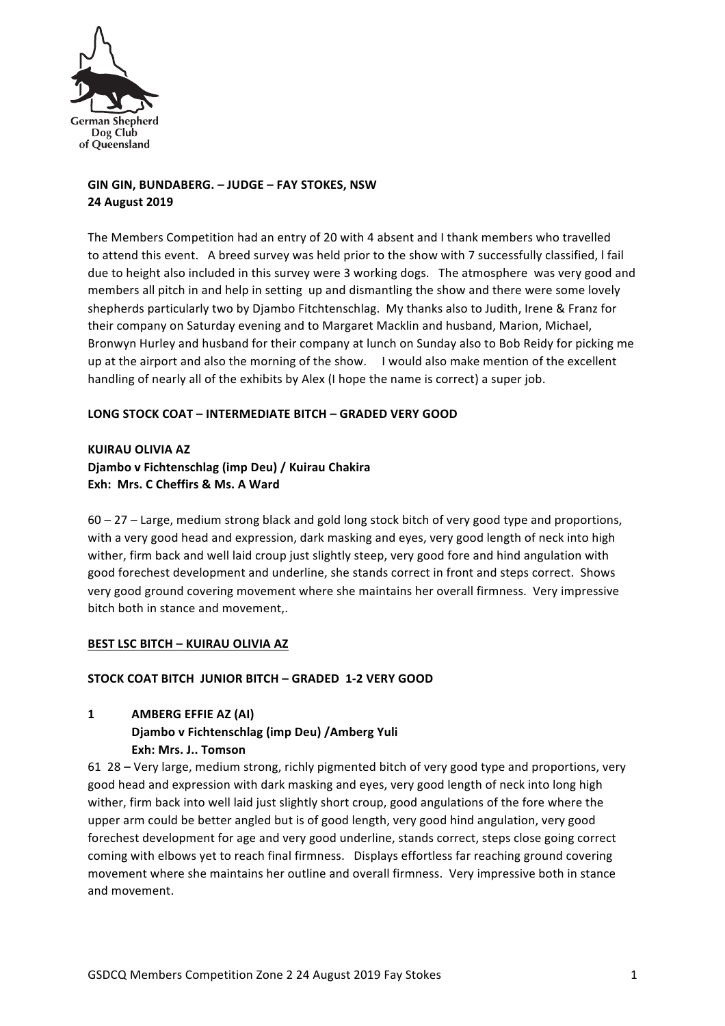

# GIN GIN, BUNDABERG. - JUDGE - FAY STOKES, NSW **24 August 2019**

The Members Competition had an entry of 20 with 4 absent and I thank members who travelled to attend this event. A breed survey was held prior to the show with 7 successfully classified, I fail due to height also included in this survey were 3 working dogs. The atmosphere was very good and members all pitch in and help in setting up and dismantling the show and there were some lovely shepherds particularly two by Djambo Fitchtenschlag. My thanks also to Judith, Irene & Franz for their company on Saturday evening and to Margaret Macklin and husband, Marion, Michael, Bronwyn Hurley and husband for their company at lunch on Sunday also to Bob Reidy for picking me up at the airport and also the morning of the show. I would also make mention of the excellent handling of nearly all of the exhibits by Alex (I hope the name is correct) a super job.

## **LONG STOCK COAT – INTERMEDIATE BITCH – GRADED VERY GOOD**

**KUIRAU OLIVIA AZ Djambo v Fichtenschlag (imp Deu) / Kuirau Chakira Exh: Mrs. C Cheffirs & Ms. A Ward** 

 $60 - 27 -$  Large, medium strong black and gold long stock bitch of very good type and proportions, with a very good head and expression, dark masking and eyes, very good length of neck into high wither, firm back and well laid croup just slightly steep, very good fore and hind angulation with good forechest development and underline, she stands correct in front and steps correct. Shows very good ground covering movement where she maintains her overall firmness. Very impressive bitch both in stance and movement..

#### **BEST LSC BITCH - KUIRAU OLIVIA AZ**

#### **STOCK COAT BITCH JUNIOR BITCH – GRADED 1-2 VERY GOOD**

**1 AMBERG EFFIE AZ (AI)**

**Djambo v Fichtenschlag (imp Deu) /Amberg Yuli Exh: Mrs. J.. Tomson**

61 28 – Very large, medium strong, richly pigmented bitch of very good type and proportions, very good head and expression with dark masking and eyes, very good length of neck into long high wither, firm back into well laid just slightly short croup, good angulations of the fore where the upper arm could be better angled but is of good length, very good hind angulation, very good forechest development for age and very good underline, stands correct, steps close going correct coming with elbows yet to reach final firmness. Displays effortless far reaching ground covering movement where she maintains her outline and overall firmness. Very impressive both in stance and movement.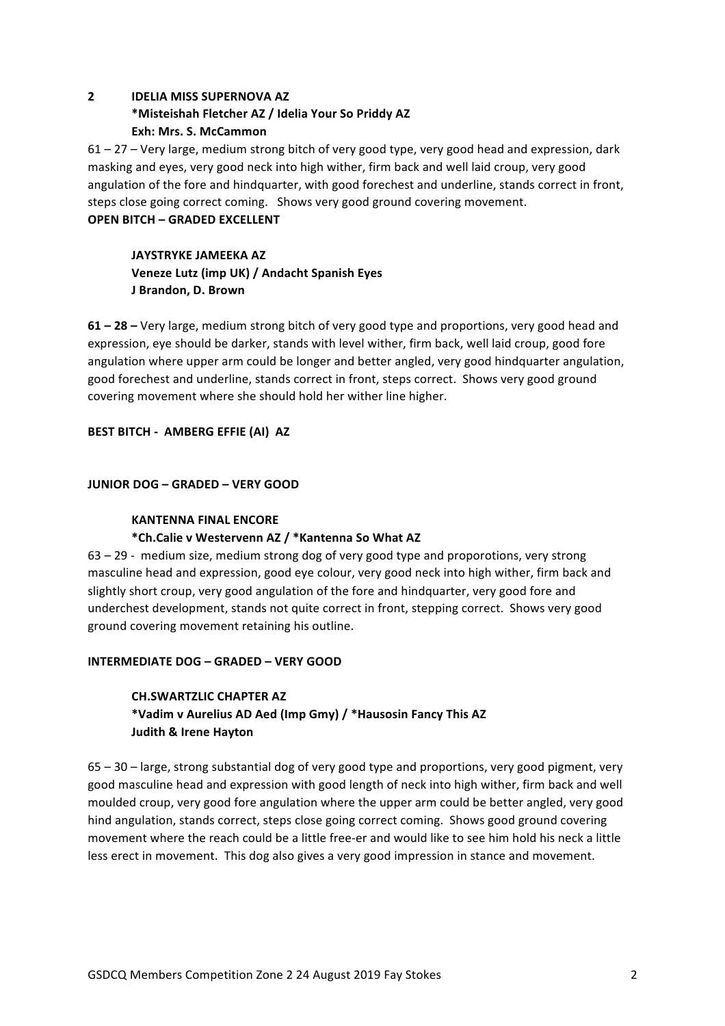# **2 IDELIA MISS SUPERNOVA AZ \*Misteishah Fletcher AZ / Idelia Your So Priddy AZ Exh: Mrs. S. McCammon**

 $61 - 27$  – Very large, medium strong bitch of very good type, very good head and expression, dark masking and eyes, very good neck into high wither, firm back and well laid croup, very good angulation of the fore and hindquarter, with good forechest and underline, stands correct in front, steps close going correct coming. Shows very good ground covering movement.

# **OPEN BITCH - GRADED EXCELLENT**

# **JAYSTRYKE JAMEEKA AZ** Veneze Lutz (imp UK) / Andacht Spanish Eyes **J Brandon, D. Brown**

**61 – 28** – Very large, medium strong bitch of very good type and proportions, very good head and expression, eye should be darker, stands with level wither, firm back, well laid croup, good fore angulation where upper arm could be longer and better angled, very good hindquarter angulation, good forechest and underline, stands correct in front, steps correct. Shows very good ground covering movement where she should hold her wither line higher.

## **BEST BITCH - AMBERG EFFIE (AI) AZ**

## **JUNIOR DOG – GRADED – VERY GOOD**

## **KANTENNA FINAL ENCORE**

## **\*Ch.Calie v Westervenn AZ / \*Kantenna So What AZ**

 $63 - 29$  - medium size, medium strong dog of very good type and proporotions, very strong masculine head and expression, good eye colour, very good neck into high wither, firm back and slightly short croup, very good angulation of the fore and hindquarter, very good fore and underchest development, stands not quite correct in front, stepping correct. Shows very good ground covering movement retaining his outline.

## **INTERMEDIATE DOG – GRADED – VERY GOOD**

# **CH.SWARTZLIC CHAPTER AZ \*Vadim v Aurelius AD Aed (Imp Gmy) / \*Hausosin Fancy This AZ Judith & Irene Hayton**

 $65 - 30 -$  large, strong substantial dog of very good type and proportions, very good pigment, very good masculine head and expression with good length of neck into high wither, firm back and well moulded croup, very good fore angulation where the upper arm could be better angled, very good hind angulation, stands correct, steps close going correct coming. Shows good ground covering movement where the reach could be a little free-er and would like to see him hold his neck a little less erect in movement. This dog also gives a very good impression in stance and movement.